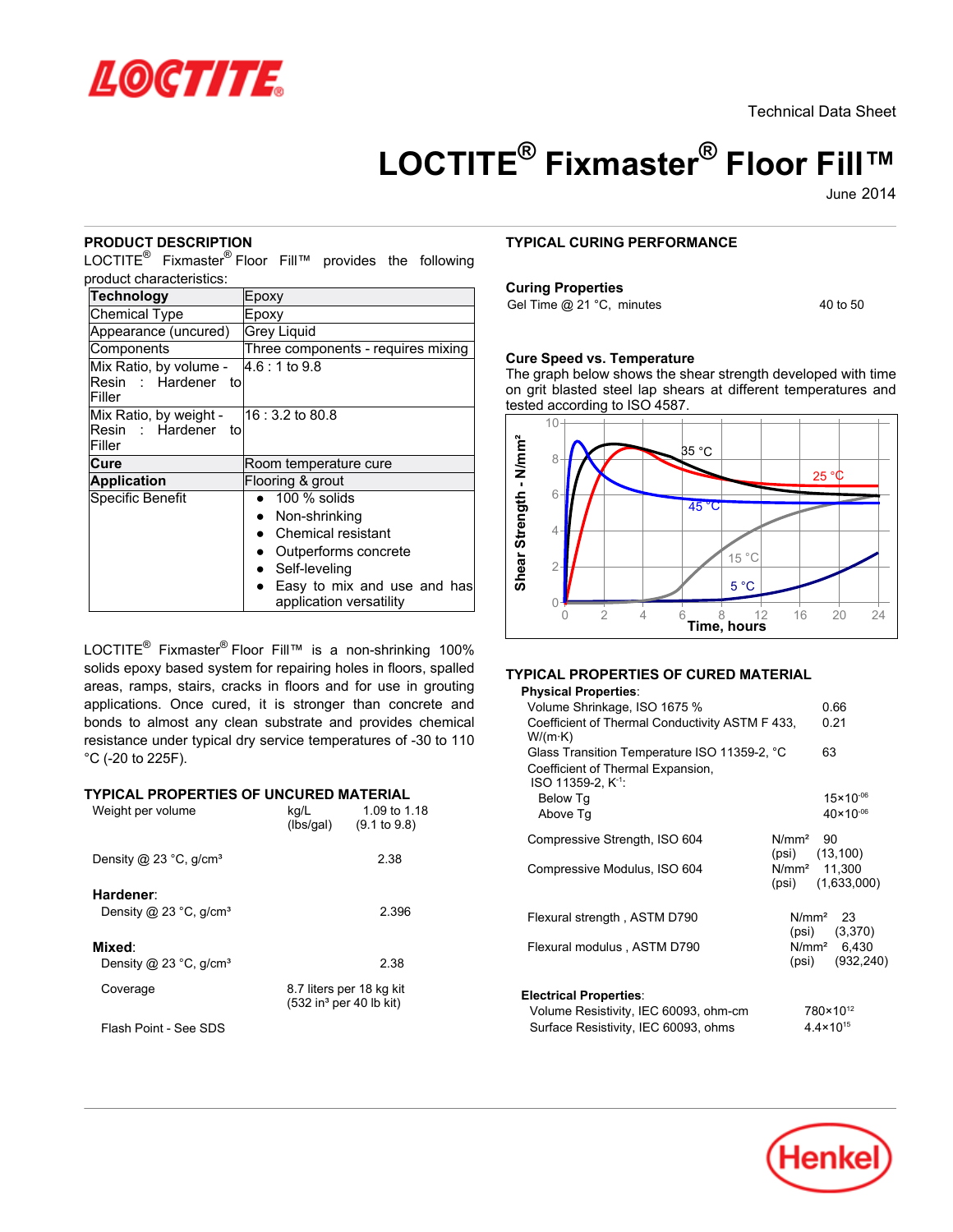

Technical Data Sheet

# **LOCTITE® Fixmaster® Floor Fill™**

June-2014

## **PRODUCT DESCRIPTION**

LOCTITE<sup>®</sup> Fixmaster<sup>®</sup> Floor Fill™ provides the following product characteristics:

| <b>Technology</b>                                       | Epoxy                                                  |
|---------------------------------------------------------|--------------------------------------------------------|
| <b>Chemical Type</b>                                    | Epoxy                                                  |
| Appearance (uncured)                                    | <b>Grey Liquid</b>                                     |
| Components                                              | Three components - requires mixing                     |
| Mix Ratio, by volume -<br>Resin : Hardener to<br>Filler | $4.6:1$ to 9.8                                         |
| Mix Ratio, by weight -<br>Resin : Hardener to<br>Filler | $16:3.2$ to 80.8                                       |
| Cure                                                    | Room temperature cure                                  |
| <b>Application</b>                                      | Flooring & grout                                       |
| Specific Benefit                                        | $100 \%$ solids                                        |
|                                                         | Non-shrinking                                          |
|                                                         | Chemical resistant                                     |
|                                                         | Outperforms concrete                                   |
|                                                         | Self-leveling                                          |
|                                                         | Easy to mix and use and has<br>application versatility |

LOCTITE<sup>®</sup> Fixmaster<sup>®</sup> Floor Fill™ is a non-shrinking 100% solids epoxy based system for repairing holes in floors, spalled areas, ramps, stairs, cracks in floors and for use in grouting applications. Once cured, it is stronger than concrete and bonds to almost any clean substrate and provides chemical resistance under typical dry service temperatures of -30 to 110 °C (-20 to 225F).

#### **TYPICAL PROPERTIES OF UNCURED MATERIAL**

| Weight per volume                                         | kg/L<br>(Ibs/gal) | 1.09 to 1.18<br>$(9.1 \text{ to } 9.8)$                           |
|-----------------------------------------------------------|-------------------|-------------------------------------------------------------------|
| Density @ 23 $^{\circ}$ C, g/cm <sup>3</sup>              |                   | 2.38                                                              |
| Hardener:<br>Density @ 23 $^{\circ}$ C, g/cm <sup>3</sup> |                   | 2.396                                                             |
| Mixed:<br>Density @ 23 $^{\circ}$ C, g/cm <sup>3</sup>    |                   | 2.38                                                              |
| Coverage                                                  |                   | 8.7 liters per 18 kg kit<br>$(532$ in <sup>3</sup> per 40 lb kit) |
| Flock Doint - Coo CDC                                     |                   |                                                                   |

Flash Point - See SDS

#### **TYPICAL CURING PERFORMANCE**

#### **Curing Properties**

Gel Time  $@21 °C$ , minutes 40 to 50

#### **Cure Speed vs. Temperature**

The graph below shows the shear strength developed with time on grit blasted steel lap shears at different temperatures and tested according to ISO 4587.



# **TYPICAL PROPERTIES OF CURED MATERIAL**

| <b>Physical Properties:</b>                                                                                           |                      |                                           |
|-----------------------------------------------------------------------------------------------------------------------|----------------------|-------------------------------------------|
| Volume Shrinkage, ISO 1675 %                                                                                          |                      | 0.66                                      |
| Coefficient of Thermal Conductivity ASTM F 433,<br>W/(m·K)                                                            |                      | 0.21                                      |
| Glass Transition Temperature ISO 11359-2, °C<br>Coefficient of Thermal Expansion,<br>$ISO$ 11359-2, K <sup>-1</sup> : |                      | 63                                        |
| Below Tg                                                                                                              |                      | $15 \times 10^{-06}$                      |
| Above Tq                                                                                                              |                      | $40 \times 10^{-06}$                      |
| Compressive Strength, ISO 604                                                                                         | N/mm <sup>2</sup> 90 | $(psi)$ $(13, 100)$                       |
| Compressive Modulus, ISO 604                                                                                          | (psi)                | N/mm <sup>2</sup> 11,300<br>(1,633,000)   |
| Flexural strength, ASTM D790                                                                                          |                      | N/mm <sup>2</sup> 23<br>$(psi)$ $(3,370)$ |
| Flexural modulus, ASTM D790                                                                                           | (psi)                | $N/mm^2$ 6,430<br>(932, 240)              |
| <b>Electrical Properties:</b>                                                                                         |                      |                                           |
| Volume Resistivity, IEC 60093, ohm-cm                                                                                 |                      | 780×10 <sup>12</sup>                      |
| Surface Resistivity, IEC 60093, ohms                                                                                  |                      | $4.4 \times 10^{15}$                      |

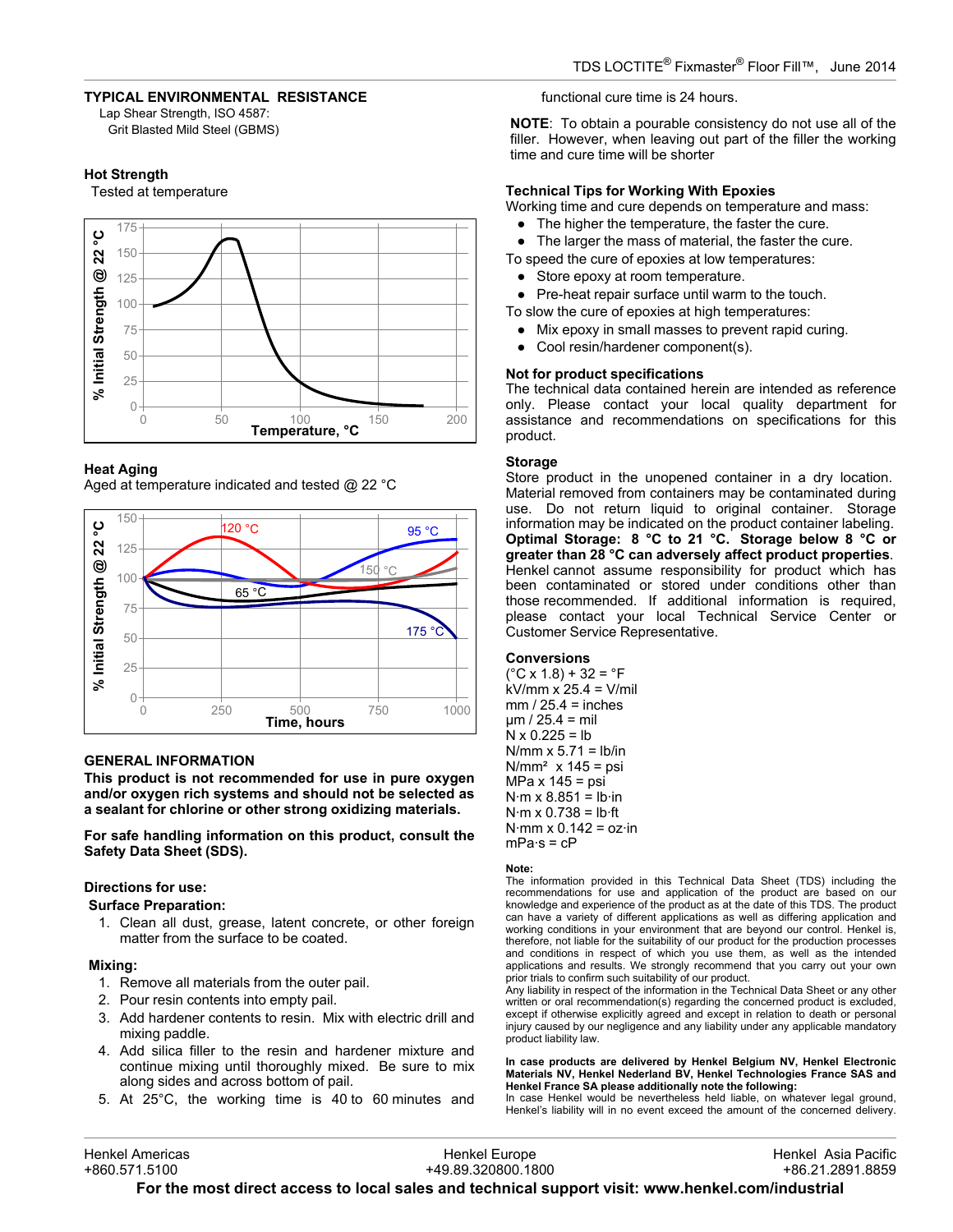## **TYPICAL ENVIRONMENTAL RESISTANCE**

Lap Shear Strength, ISO 4587: Grit Blasted Mild Steel (GBMS)

#### **Hot Strength**

Tested at temperature



## **Heat Aging**

Aged at temperature indicated and tested  $\omega$  22 °C



## **GENERAL INFORMATION**

**This product is not recommended for use in pure oxygen and/or oxygen rich systems and should not be selected as a sealant for chlorine or other strong oxidizing materials.**

**For safe handling information on this product, consult the Safety Data Sheet (SDS).**

#### **Directions for use:**

**Surface Preparation:**

1. Clean all dust, grease, latent concrete, or other foreign matter from the surface to be coated.

#### **Mixing:**

- 1. Remove all materials from the outer pail.
- 2. Pour resin contents into empty pail.
- 3. Add hardener contents to resin. Mix with electric drill and mixing paddle.
- 4. Add silica filler to the resin and hardener mixture and continue mixing until thoroughly mixed. Be sure to mix along sides and across bottom of pail.
- 5. At 25°C, the working time is 40 to 60 minutes and

functional cure time is 24 hours.

**NOTE**: To obtain a pourable consistency do not use all of the filler. However, when leaving out part of the filler the working time and cure time will be shorter

# **Technical Tips for Working With Epoxies**

Working time and cure depends on temperature and mass:

• The higher the temperature, the faster the cure.

● The larger the mass of material, the faster the cure.

- To speed the cure of epoxies at low temperatures:
	- Store epoxy at room temperature.
	- Pre-heat repair surface until warm to the touch.
- To slow the cure of epoxies at high temperatures:
	- Mix epoxy in small masses to prevent rapid curing.
	- Cool resin/hardener component(s).

# **Not for product specifications**

The technical data contained herein are intended as reference only. Please contact your local quality department for assistance and recommendations on specifications for this product.

#### **Storage**

Store product in the unopened container in a dry location. Material removed from containers may be contaminated during use. Do not return liquid to original container. Storage information may be indicated on the product container labeling. **Optimal Storage: 8 °C to 21 °C. Storage below 8 °C or greater than 28 °C can adversely affect product properties**. Henkel cannot assume responsibility for product which has been contaminated or stored under conditions other than those recommended. If additional information is required. please contact your local Technical Service Center or Customer Service Representative.

#### **Conversions**

 $(^{\circ}C \times 1.8) + 32 = ^{\circ}F$ kV/mm x 25.4 = V/mil  $mm / 25.4 = inches$  $µm / 25.4 = mil$  $N \times 0.225 = lb$  $N/mm \times 5.71 = lb/in$  $N/mm<sup>2</sup>$  x 145 = psi  $MPa \times 145 = psi$  $N·m \times 8.851 = lb·in$  $N·m \times 0.738 = lb·ft$  $N·mm \times 0.142 = oz·in$  $mPa·s = cP$ 

#### **Note:**

The information provided in this Technical Data Sheet (TDS) including the recommendations for use and application of the product are based on our knowledge and experience of the product as at the date of this TDS. The product can have a variety of different applications as well as differing application and working conditions in your environment that are beyond our control. Henkel is, therefore, not liable for the suitability of our product for the production processes and conditions in respect of which you use them, as well as the intended applications and results. We strongly recommend that you carry out your own prior trials to confirm such suitability of our product.

Any liability in respect of the information in the Technical Data Sheet or any other written or oral recommendation(s) regarding the concerned product is excluded, except if otherwise explicitly agreed and except in relation to death or personal injury caused by our negligence and any liability under any applicable mandatory product liability law.

**In case products are delivered by Henkel Belgium NV, Henkel Electronic Materials NV, Henkel Nederland BV, Henkel Technologies France SAS and Henkel France SA please additionally note the following:** 

In case Henkel would be nevertheless held liable, on whatever legal ground, Henkel's liability will in no event exceed the amount of the concerned delivery.

| +860.571.5100<br>+49.89.320800.1800 | +86.21.2891.8859    |
|-------------------------------------|---------------------|
| Henkel Americas<br>Henkel Europe    | Henkel Asia Pacific |